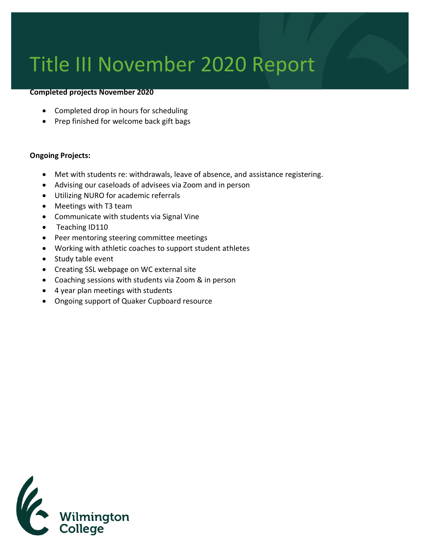## Title III November 2020 Report

## **Completed projects November 2020**

- Completed drop in hours for scheduling
- Prep finished for welcome back gift bags

## **Ongoing Projects:**

- Met with students re: withdrawals, leave of absence, and assistance registering.
- Advising our caseloads of advisees via Zoom and in person
- Utilizing NURO for academic referrals
- Meetings with T3 team
- Communicate with students via Signal Vine
- Teaching ID110
- Peer mentoring steering committee meetings
- Working with athletic coaches to support student athletes
- Study table event
- Creating SSL webpage on WC external site
- Coaching sessions with students via Zoom & in person
- 4 year plan meetings with students
- Ongoing support of Quaker Cupboard resource